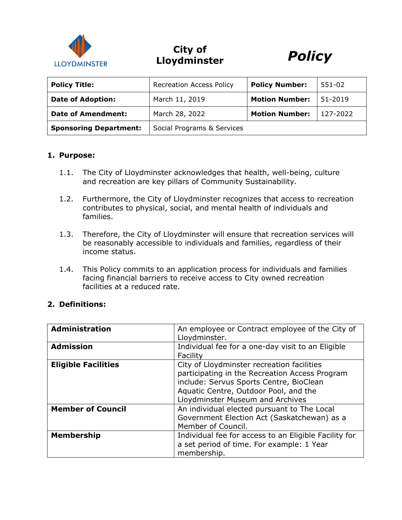

# **City of Lloydminster** *Policy*



| <b>Policy Title:</b>          | <b>Recreation Access Policy</b> | <b>Policy Number:</b> | 551-02   |
|-------------------------------|---------------------------------|-----------------------|----------|
| <b>Date of Adoption:</b>      | March 11, 2019                  | <b>Motion Number:</b> | 51-2019  |
| <b>Date of Amendment:</b>     | March 28, 2022                  | <b>Motion Number:</b> | 127-2022 |
| <b>Sponsoring Department:</b> | Social Programs & Services      |                       |          |

#### **1. Purpose:**

- 1.1. The City of Lloydminster acknowledges that health, well-being, culture and recreation are key pillars of Community Sustainability.
- 1.2. Furthermore, the City of Lloydminster recognizes that access to recreation contributes to physical, social, and mental health of individuals and families.
- 1.3. Therefore, the City of Lloydminster will ensure that recreation services will be reasonably accessible to individuals and families, regardless of their income status.
- 1.4. This Policy commits to an application process for individuals and families facing financial barriers to receive access to City owned recreation facilities at a reduced rate.

#### **2. Definitions:**

| <b>Administration</b>      | An employee or Contract employee of the City of       |  |  |
|----------------------------|-------------------------------------------------------|--|--|
|                            | Lloydminster.                                         |  |  |
| <b>Admission</b>           | Individual fee for a one-day visit to an Eligible     |  |  |
|                            | Facility                                              |  |  |
| <b>Eligible Facilities</b> | City of Lloydminster recreation facilities            |  |  |
|                            | participating in the Recreation Access Program        |  |  |
|                            | include: Servus Sports Centre, BioClean               |  |  |
|                            | Aquatic Centre, Outdoor Pool, and the                 |  |  |
|                            | Lloydminster Museum and Archives                      |  |  |
| <b>Member of Council</b>   | An individual elected pursuant to The Local           |  |  |
|                            | Government Election Act (Saskatchewan) as a           |  |  |
|                            | Member of Council.                                    |  |  |
| <b>Membership</b>          | Individual fee for access to an Eligible Facility for |  |  |
|                            | a set period of time. For example: 1 Year             |  |  |
|                            | membership.                                           |  |  |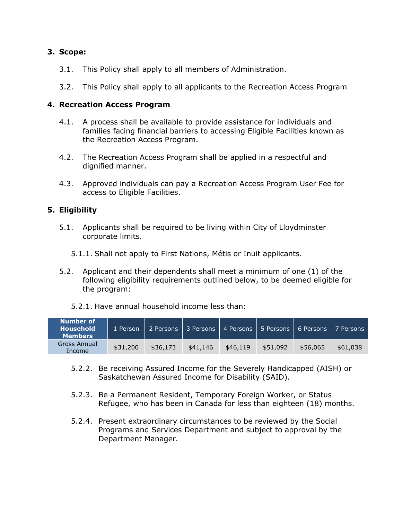## **3. Scope:**

- 3.1. This Policy shall apply to all members of Administration.
- 3.2. This Policy shall apply to all applicants to the Recreation Access Program

### **4. Recreation Access Program**

- 4.1. A process shall be available to provide assistance for individuals and families facing financial barriers to accessing Eligible Facilities known as the Recreation Access Program.
- 4.2. The Recreation Access Program shall be applied in a respectful and dignified manner.
- 4.3. Approved individuals can pay a Recreation Access Program User Fee for access to Eligible Facilities.

### **5. Eligibility**

- 5.1. Applicants shall be required to be living within City of Lloydminster corporate limits.
	- 5.1.1. Shall not apply to First Nations, Métis or Inuit applicants.
- 5.2. Applicant and their dependents shall meet a minimum of one (1) of the following eligibility requirements outlined below, to be deemed eligible for the program:
	- 5.2.1. Have annual household income less than:

| Number of<br><b>Household</b><br><b>Members</b> | 1 Person | 2 Persons 3 Persons |          |          |          | 4 Persons 1 5 Persons 1 6 Persons 1 7 Persons |          |
|-------------------------------------------------|----------|---------------------|----------|----------|----------|-----------------------------------------------|----------|
| <b>Gross Annual</b><br>Income                   | \$31,200 | \$36,173            | \$41,146 | \$46.119 | \$51,092 | \$56,065                                      | \$61,038 |

- 5.2.2. Be receiving Assured Income for the Severely Handicapped (AISH) or Saskatchewan Assured Income for Disability (SAID).
- 5.2.3. Be a Permanent Resident, Temporary Foreign Worker, or Status Refugee, who has been in Canada for less than eighteen (18) months.
- 5.2.4. Present extraordinary circumstances to be reviewed by the Social Programs and Services Department and subject to approval by the Department Manager.